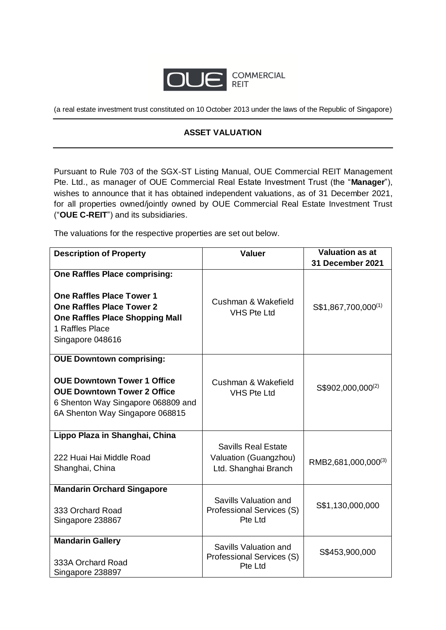

(a real estate investment trust constituted on 10 October 2013 under the laws of the Republic of Singapore)

## **ASSET VALUATION**

Pursuant to Rule 703 of the SGX-ST Listing Manual, OUE Commercial REIT Management Pte. Ltd., as manager of OUE Commercial Real Estate Investment Trust (the "**Manager**"), wishes to announce that it has obtained independent valuations, as of 31 December 2021, for all properties owned/jointly owned by OUE Commercial Real Estate Investment Trust ("**OUE C-REIT**") and its subsidiaries.

The valuations for the respective properties are set out below.

| <b>Description of Property</b>                                                                                                                                                                | <b>Valuer</b>                                                               | <b>Valuation as at</b>          |
|-----------------------------------------------------------------------------------------------------------------------------------------------------------------------------------------------|-----------------------------------------------------------------------------|---------------------------------|
|                                                                                                                                                                                               |                                                                             | 31 December 2021                |
| <b>One Raffles Place comprising:</b><br><b>One Raffles Place Tower 1</b><br><b>One Raffles Place Tower 2</b><br><b>One Raffles Place Shopping Mall</b><br>1 Raffles Place<br>Singapore 048616 | Cushman & Wakefield<br><b>VHS Pte Ltd</b>                                   | S\$1,867,700,000 <sup>(1)</sup> |
| <b>OUE Downtown comprising:</b><br><b>OUE Downtown Tower 1 Office</b><br><b>OUE Downtown Tower 2 Office</b><br>6 Shenton Way Singapore 068809 and<br>6A Shenton Way Singapore 068815          | Cushman & Wakefield<br><b>VHS Pte Ltd</b>                                   | S\$902,000,000 <sup>(2)</sup>   |
| Lippo Plaza in Shanghai, China<br>222 Huai Hai Middle Road<br>Shanghai, China                                                                                                                 | <b>Savills Real Estate</b><br>Valuation (Guangzhou)<br>Ltd. Shanghai Branch | RMB2,681,000,000 <sup>(3)</sup> |
| <b>Mandarin Orchard Singapore</b><br>333 Orchard Road<br>Singapore 238867                                                                                                                     | Savills Valuation and<br>Professional Services (S)<br>Pte Ltd               | S\$1,130,000,000                |
| <b>Mandarin Gallery</b><br>333A Orchard Road<br>Singapore 238897                                                                                                                              | Savills Valuation and<br>Professional Services (S)<br>Pte Ltd               | S\$453,900,000                  |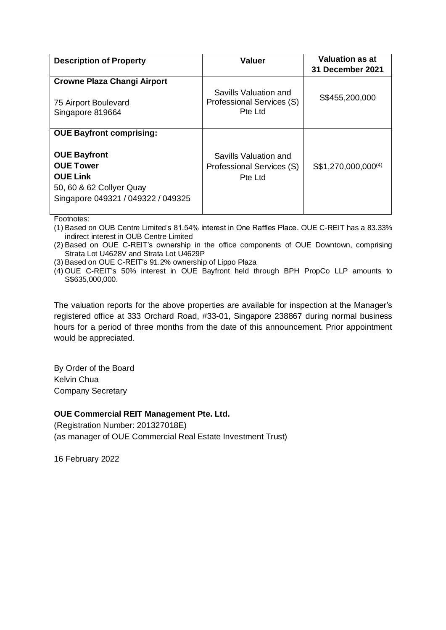| <b>Description of Property</b>                                                                                                                                  | <b>Valuer</b>                                                 | <b>Valuation as at</b><br><b>31 December 2021</b> |
|-----------------------------------------------------------------------------------------------------------------------------------------------------------------|---------------------------------------------------------------|---------------------------------------------------|
| <b>Crowne Plaza Changi Airport</b><br>75 Airport Boulevard<br>Singapore 819664                                                                                  | Savills Valuation and<br>Professional Services (S)<br>Pte Ltd | S\$455,200,000                                    |
| <b>OUE Bayfront comprising:</b><br><b>OUE Bayfront</b><br><b>OUE Tower</b><br><b>OUE Link</b><br>50, 60 & 62 Collyer Quay<br>Singapore 049321 / 049322 / 049325 | Savills Valuation and<br>Professional Services (S)<br>Pte Ltd | S\$1,270,000,000 <sup>(4)</sup>                   |

Footnotes:

(1) Based on OUB Centre Limited's 81.54% interest in One Raffles Place. OUE C-REIT has a 83.33% indirect interest in OUB Centre Limited

(2) Based on OUE C-REIT's ownership in the office components of OUE Downtown, comprising Strata Lot U4628V and Strata Lot U4629P

(3) Based on OUE C-REIT's 91.2% ownership of Lippo Plaza

(4) OUE C-REIT's 50% interest in OUE Bayfront held through BPH PropCo LLP amounts to S\$635,000,000.

The valuation reports for the above properties are available for inspection at the Manager's registered office at 333 Orchard Road, #33-01, Singapore 238867 during normal business hours for a period of three months from the date of this announcement. Prior appointment would be appreciated.

By Order of the Board Kelvin Chua Company Secretary

## **OUE Commercial REIT Management Pte. Ltd.**

(Registration Number: 201327018E) (as manager of OUE Commercial Real Estate Investment Trust)

16 February 2022